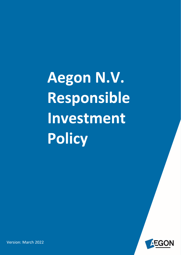Aegon N.V. Responsible Investment Policy



**Version: March 2022**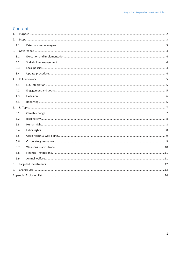## Contents

| 1. |      |  |  |  |  |  |  |
|----|------|--|--|--|--|--|--|
| 2. |      |  |  |  |  |  |  |
|    | 2.1. |  |  |  |  |  |  |
| 3. |      |  |  |  |  |  |  |
|    | 3.1. |  |  |  |  |  |  |
|    | 3.2. |  |  |  |  |  |  |
|    | 3.3. |  |  |  |  |  |  |
|    | 3.4. |  |  |  |  |  |  |
|    |      |  |  |  |  |  |  |
|    | 4.1. |  |  |  |  |  |  |
|    | 4.2. |  |  |  |  |  |  |
|    | 4.3. |  |  |  |  |  |  |
|    | 4.4. |  |  |  |  |  |  |
|    |      |  |  |  |  |  |  |
|    | 5.1. |  |  |  |  |  |  |
|    | 5.2. |  |  |  |  |  |  |
|    | 5.3. |  |  |  |  |  |  |
|    | 5.4. |  |  |  |  |  |  |
|    | 5.5. |  |  |  |  |  |  |
|    | 5.6. |  |  |  |  |  |  |
|    | 5.7. |  |  |  |  |  |  |
|    | 5.8. |  |  |  |  |  |  |
|    | 5.9. |  |  |  |  |  |  |
| 6. |      |  |  |  |  |  |  |
| 7. |      |  |  |  |  |  |  |
|    |      |  |  |  |  |  |  |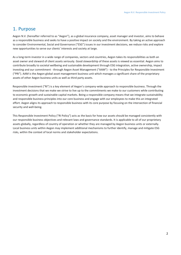# <span id="page-2-0"></span>1. Purpose

Aegon N.V. (hereafter referred to as "Aegon"), as a global insurance company, asset manager and investor, aims to behave as a responsible business and seeks to have a positive impact on society and the environment. By taking an active approach to consider Environmental, Social and Governance ("ESG") issues in our investment decisions, we reduce risks and explore new opportunities to serve our clients' interests and society at large.

As a long-term investor in a wide range of companies, sectors and countries, Aegon takes its responsibilities as both an asset owner and steward of client assets seriously. Good stewardship of these assets is viewed as essential. Aegon aims to contribute broadly to societal wellbeing and sustainable development through ESG integration, active ownership, impact investing and our commitment - through Aegon Asset Management ("AAM") - to the Principles for Responsible Investment ("PRI"). AAM is the Aegon global asset management business unit which manages a significant share of the proprietary assets of other Aegon business units as well as third party assets.

Responsible investment ("RI") is a key element of Aegon's company-wide approach to responsible business. Through the investment decisions that we make we strive to live up to the commitments we make to our customers while contributing to economic growth and sustainable capital markets. Being a responsible company means that we integrate sustainability and responsible business principles into our core business and engage with our employees to make this an integrated effort. Aegon aligns its approach to responsible business with its core purpose by focusing on the intersection of financial security and well-being.

This Responsible Investment Policy ("RI Policy") acts as the basis for how our assets should be managed consistently with our responsible business objectives and relevant laws and governance standards. It is applicable to all of our proprietary assets globally, regardless of country of operation or whether they are managed by Aegon business units or externally. Local business units within Aegon may implement additional mechanisms to further identify, manage and mitigate ESG risks, within the context of local norms and stakeholder expectations.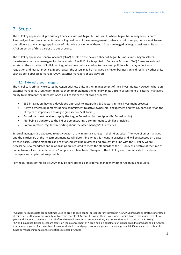# <span id="page-3-0"></span>2. Scope

The RI Policy applies to all proprietary financial assets of Aegon business units where Aegon has management control. Assets of joint venture companies where Aegon does not have management control are out of scope, but we seek to use our influence to encourage application of this policy or elements thereof. Assets managed by Aegon business units such as AAM on behalf of third parties are out of scope.

The RI Policy applies to General Account ("GA") assets on the balance sheet of Aegon business units. Aegon selects investments, funds or managers for these assets.<sup>1</sup> The RI Policy is applied to Separate Account ("SA") / Insurance-linked assets<sup>2</sup> at the discretion of individual Aegon business units according to their own policies which may reflect local regulation and market practice. In both cases, the assets may be managed by Aegon business units directly, by other units such as our global asset manager AAM, external managers or sub-advisors.

## 2.1. External asset managers

<span id="page-3-1"></span>The RI Policy is primarily executed by Aegon business units in their management of their investments. However, where an external manager is used Aegon requires them to implement the RI Policy. In its upfront assessment of external managers' ability to implement the RI Policy, Aegon will consider the following aspects:

- ESG integration: having a developed approach to integrating ESG factors in their investment process;
- Active ownership: demonstrating a commitment to active ownership, engagement and voting, particularly on the RI topics of importance to Aegon (see section [5](#page-7-0) [RI Topics\)](#page-7-0);
- Exclusions: must be able to apply the Aegon Exclusion List (se[e Appendix: Exclusion List\)](#page-14-0);
- PRI: being a signatory to the PRI or demonstrating a commitment to similar principles;
- Communication: regularly reporting about the asset manager's RI activities.

External managers are expected to notify Aegon of any material changes in their RI practices. The type of asset managed and the particulars of the investment mandate will determine what this means in practice and will be assessed on a caseby-case basis. Existing mandates and relationships will be reviewed and brought into line with the RI Policy where necessary. New mandates and relationships are required to meet the standards of the RI Policy as effective at the time of commitment of such mandates on a 'comply or explain' basis. Changes to the RI Policy are communicated to external managers and applied where possible.

For the purposes of this policy, AAM may be considered as an external manager by other Aegon business units.

<sup>&</sup>lt;sup>1</sup> General Account assets are sometimes used to provide seed capital or loans for investment in new AAM products or strategies targeted at third parties that may not comply with certain aspects of Aegon's RI policy. These investments, which have a maximum term of five years and amount to no more than 1% of total General Account assets at any time, are not considered in scope of the RI Policy. <sup>2</sup> SA and Insurance-Linked assets are assets on the balance sheet of Aegon held on behalf of our clients, linked to products sold by Aegon insurance companies (i.e., investment accounts linked to mortgages, insurance policies, pension products). Clients select investments, funds or managers from a range of options selected by Aegon.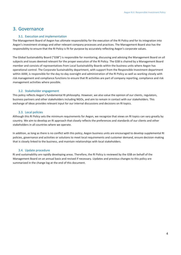## <span id="page-4-0"></span>3. Governance

## 3.1. Execution and implementation

<span id="page-4-1"></span>The Management Board of Aegon has ultimate responsibility for the execution of the RI Policy and for its integration into Aegon's investment strategy and other relevant company processes and practices. The Management Board also has the responsibility to ensure that the RI Policy is fit for purpose by accurately reflecting Aegon's corporate values.

The Global Sustainability Board ("GSB") is responsible for monitoring, discussing and advising the Management Board on all subjects and issues deemed relevant for the proper execution of the RI Policy. The GSB is chaired by a Management Board member and consists of representatives from Local Sustainability Boards within the business units where Aegon has operational control. The Corporate Sustainability department, with support from the Responsible Investment department within AAM, is responsible for the day-to-day oversight and administration of the RI Policy as well as working closely with risk management and compliance functions to ensure that RI activities are part of company reporting, compliance and risk management activities where possible.

## 3.2. Stakeholder engagement

<span id="page-4-2"></span>This policy reflects Aegon's fundamental RI philosophy. However, we also value the opinion of our clients, regulators, business partners and other stakeholders including NGOs, and aim to remain in contact with our stakeholders. This exchange of ideas provides relevant input for our internal discussions and decisions on RI topics.

## 3.3. Local policies

<span id="page-4-3"></span>Although this RI Policy sets the minimum requirements for Aegon, we recognize that views on RI topics can vary greatly by country. We aim to develop an RI approach that closely reflects the preferences and standards of our clients and other stakeholders in all countries where we operate.

In addition, as long as there is no conflict with this policy, Aegon business units are encouraged to develop supplemental RI policies, governance and activities or solutions to meet local requirements and customer demand, ensure decision-making that is closely linked to the business, and maintain relationships with local stakeholders.

## 3.4. Update procedure

<span id="page-4-4"></span>RI and sustainability are rapidly developing areas. Therefore, the RI Policy is reviewed by the GSB on behalf of the Management Board on an annual basis and revised if necessary. Updates and previous changes to this policy are summarized in the change log at the end of this document.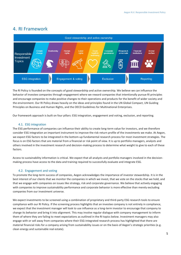## <span id="page-5-0"></span>4. RI Framework



The RI Policy is founded on the concepts of good stewardship and active ownership. We believe we can influence the behavior of investee companies through engagement where we reward companies that intentionally pursue RI principles and encourage companies to make positive changes to their operations and products for the benefit of wider society and the environment. Our RI Policy draws heavily on the ideas and principles found in the UN Global Compact, UN Guiding Principles on Business and Human Rights, and the OECD Guidelines for Multinational Enterprises.

Our framework approach is built on four pillars: ESG integration, engagement and voting, exclusion, and reporting.

## 4.1. ESG integration

<span id="page-5-1"></span>The ESG performance of companies can influence their ability to create long-term value for investors, and we therefore consider ESG integration an important instrument to improve the risk-return profile of the investments we make. At Aegon, we expect ESG factors to be integrated in the bottom-up fundamental research process for most investment strategies. The focus is on ESG factors that are material from a financial or risk point of view. It is up to portfolio managers, analysts and others involved in the investment research and decision-making process to determine what weight to give to each of these factors.

Access to sustainability information is critical. We expect that all analysts and portfolio managers involved in the decisionmaking process have access to the data and training required to successfully evaluate and integrate ESG.

### 4.2. Engagement and voting

<span id="page-5-2"></span>To promote the long-term success of companies, Aegon acknowledges the importance of investor stewardship. It is in the best interest of our clients that we monitor the companies in which we invest, that we vote on the stocks that we hold, and that we engage with companies on issues like strategy, risk and corporate governance. We believe that actively engaging with companies to improve sustainability performance and corporate behavior is more effective than merely excluding companies from our investment universe.

We expect investments to be screened using a combination of proprietary and third-party ESG research tools to ensure compliance with our RI Policy. If the screening process highlights that an investee company is not entirely in compliance, we expect that the investment manager will look to use influence as a long-term investor to encourage that company to change its behavior and bring it into alignment. This may involve regular dialogue with company management to inform them of where they are failing to meet expectations as outlined in the RI topics below. Investment managers may also engage with or sell away from companies where their ESG-integrated research process has highlighted that there are material financial risks for a company arising from sustainability issues or on the basis of Aegon's strategic priorities (e.g. clean energy and sustainable real estate).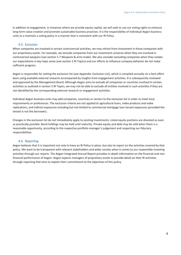In addition to engagement, in instances where we provide equity capital, we will seek to use our voting rights to enhance long-term value creation and promote sustainable business practices. It is the responsibility of individual Aegon business units to a maintain a voting policy in a manner that is consistent with our RI Policy.

## 4.3. Exclusion

<span id="page-6-0"></span>When companies are involved in certain controversial activities, we may refrain from investment in those companies with our proprietary assets. For example, we exclude companies from our investment universe when they are involved in controversial weapons (see section [5.7](#page-10-0) [Weapons & arms trade\)](#page-10-0). We also consider excluding companies when they violate our expectations in key topic areas (see section [5](#page-7-0) [RI Topics\)](#page-7-0) and our efforts to influence company behavior do not make sufficient progress.

Aegon is responsible for setting the exclusion list (see [Appendix: Exclusion List\)](#page-14-0), which is compiled annually on a best effort basis using available external research accompanied by insights from engagement activities. It is subsequently reviewed and approved by the Management Board. Although Aegon aims to exclude all companies or countries involved in certain activities as outlined in section [5](#page-7-0) [RI Topics,](#page-7-0) we may not be able to exclude all entities involved in such activities if they are not identified by the corresponding external research or engagement activities.

Individual Aegon business units may add companies, countries or sectors to the exclusion list in order to meet local requirements or preferences. The exclusion criteria are not applied to agricultural loans, index products and index replications, and indirect exposures including but not limited to commercial mortgage loan tenant exposures (provided the tenant is not the borrower).

Changes in the exclusion list do not immediately apply to existing investments. Listed equity positions are divested as soon as practically possible. Bond holdings may be held until maturity. Private equity and debt may be sold when there is a reasonable opportunity, according to the respective portfolio manager's judgement and respecting our fiduciary responsibilities.

### 4.4. Reporting

<span id="page-6-1"></span>Aegon believes that it is important not only to have an RI Policy in place, but also to report on the activities covered by that policy. We want to be transparent with relevant stakeholders and wider society when it comes to our responsible investing activities through our reports. The Aegon Integrated Annual Report provides in-depth information on the financial and nonfinancial performance of Aegon. Aegon expects managers of proprietary assets to provide detail on their RI activities through reporting that aims to explain their commitment to the objectives of this policy.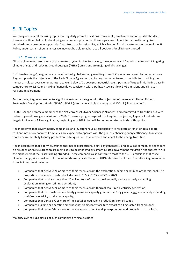# <span id="page-7-0"></span>5. RI Topics

We recognize several recurring topics that regularly prompt questions from clients, employees and other stakeholders; these are outlined below. In developing our company position on these topics, we follow internationally recognized standards and norms where possible. Apart from the Exclusion List, which is binding for all investments in scope of the RI Policy, under certain circumstances we may not be able to adhere to all positions for all RI topics noted.

## 5.1. Climate change

<span id="page-7-1"></span>Climate change represents one of the greatest systemic risks for society, the economy and financial institutions. Mitigating climate change and reducing greenhouse gas ("GHG") emissions are major global challenges.

By "climate change", Aegon means the effects of global warming resulting from GHG emissions caused by human actions. Aegon supports the objectives of the Paris Climate Agreement, affirming our commitment to contribute to holding the increase in global average temperature to well below 2°C above pre-industrial levels, pursing efforts to limit the increase in temperature to 1.5°C, and making finance flows consistent with a pathway towards low GHG emissions and climateresilient development.

Furthermore, Aegon endeavors to align its investment strategies with the objectives of the relevant United Nations Sustainable Development Goals ("SDGs"): SDG 7 (affordable and clean energy) and SDG 13 (climate action).

In 2021, Aegon became a member of the Net-Zero Asset Owner Alliance ("Alliance") and committed to transition its GA to net-zero greenhouse gas emissions by 2050. To ensure progress against this long-term objective, Aegon will set interim targets in-line with Alliance guidance, beginning with 2025, that will be communicated outside of this policy.

Aegon believes that governments, companies, and investors have a responsibility to facilitate a transition to a climateresilient, net-zero economy. Companies are expected to operate with the goal of enhancing energy efficiency, to invest in more environmentally friendly production techniques, and to contribute and adapt to the energy transition.

Aegon recognizes that poorly-diversified thermal coal producers, electricity generators, and oil & gas companies dependent on oil sands or Arctic extraction are most likely to be impacted by climate-related government regulation and therefore run the highest risk of their assets being stranded. These companies also contribute most to the GHG emissions that cause climate change, since coal and oil from oil sands are typically the most GHG-intensive fossil fuels. Therefore Aegon excludes from its investment universe:

- Companies that derive 25% or more of their revenue from the exploration, mining or refining of thermal coal. The proportion of revenue threshold will decline to 10% in 2027 and 5% in 2029;
- Companies that produce more than 20 million tons of thermal coal annually and are actively expanding exploration, mining or refining operations;
- Companies that derive 50% or more of their revenue from thermal coal-fired electricity generation;
- Companies that own coal-fired electricity generation capacity greater than 10 gigawatts and are actively expanding coal-fired electricity production capacity;
- Companies that derive 5% or more of their total oil equivalent production from oil sands;
- Companies building or operating pipelines that significantly facilitate export of oil extracted from oil sands;
- Companies that derive 5% or more of their revenue from oil and gas exploration and production in the Arctic.

Majority-owned subsidiaries of such companies are also excluded.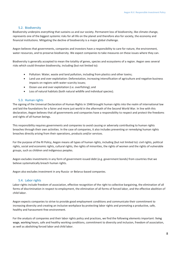#### 5.2. Biodiversity

<span id="page-8-0"></span>Biodiversity underpins everything that sustains us and our society. Permanent loss of biodiversity, like climate change, represents one of the biggest systemic risks for all life on the planet and therefore also for society, the economy and financial institutions. Mitigating the decline of biodiversity is a major global challenge.

Aegon believes that governments, companies and investors have a responsibility to care for nature, the environment, water resources, and to preserve biodiversity. We expect companies to take measures on these issues where they can.

Biodiversity is generally accepted to mean the totality of genes, species and ecosystems of a region. Aegon sees several risks which could threaten biodiversity, including (but not limited to):

- Pollution: Water, waste and land pollution, including from plastics and other toxins;
- Land use and over exploitation: Deforestation, increasing intensification of agriculture and negative business impacts on regions with water-scarcity issues;
- Ocean use and over exploitation (i.e. overfishing); and
- Loss of natural habitats (both natural wildlife and individual species).

#### 5.3. Human rights

<span id="page-8-1"></span>The signing of the Universal Declaration of Human Rights in 1948 brought human rights into the realm of international law and laid the foundations for a fairer and more just world in the aftermath of the Second World War. In line with this declaration, Aegon believes that all governments and companies have a responsibility to respect and protect the freedoms and rights of all human beings.

This responsibility requires governments and companies to avoid causing or adversely contributing to human rights breaches through their own activities. In the case of companies, it also includes preventing or remedying human rights breaches directly arising from their operations, products and/or services.

For the purpose of the RI Policy, Aegon means all types of human rights, including (but not limited to): civil rights, political rights, social and economic rights, cultural rights, the rights of minorities, the rights of women and the rights of vulnerable groups, such as children and indigenous peoples.

Aegon excludes investments in any form of government-issued debt (e.g. government bonds) from countries that we believe systematically breach human rights.

Aegon also excludes investment in any Russia- or Belarus-based companies.

#### 5.4. Labor rights

<span id="page-8-2"></span>Labor rights include freedom of association, effective recognition of the right to collective bargaining, the elimination of all forms of discrimination in respect to employment, the elimination of all forms of forced labor, and the effective abolition of child labor.

Aegon expects companies to strive to provide good employment conditions and communicate their commitment to increasing diversity and creating an inclusive workplace by protecting labor rights and promoting a productive, safe, healthy and harassment-free environment.

For the analysis of companies and their labor rights policy and practices, we find the following elements important: living wage, working hours, safe and healthy working conditions, commitment to diversity and inclusion, freedom of association, as well as abolishing forced labor and child labor.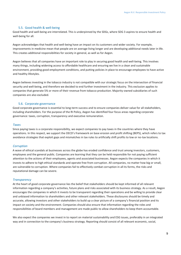#### 5.5. Good health & well-being

<span id="page-9-0"></span>Good health and well-being are interrelated. This is underpinned by the SDGs, where SDG 3 aspires to ensure health and well-being for all.

Aegon acknowledges that health and well-being have an impact on its customers and wider society. For example, improvements in medicine mean that people are on average living longer and are developing additional needs later in life. This creates additional responsibilities for society in general, as well as for Aegon.

Aegon believes that all companies have an important role to play in securing good health and well-being. This involves many things, including widening access to affordable healthcare and ensuring we live in a clean and sustainable environment, providing good employment conditions, and putting policies in place to encourage employees to have active and healthy lifestyles.

Aegon believes investing in the tobacco industry is not compatible with our strategic focus on the intersection of financial security and well-being, and therefore we decided to end further investment in the industry. This exclusion applies to companies that generate 5% or more of their revenue from tobacco production. Majority-owned subsidiaries of such companies are also excluded.

#### 5.6. Corporate governance

<span id="page-9-1"></span>Good corporate governance is essential to long-term success and to ensure companies deliver value for all stakeholders, including shareholders. For the purpose of the RI Policy, Aegon has identified four focus areas regarding corporate governance: taxes, corruption, transparency and executive remuneration.

#### *Taxes*

Since paying taxes is a corporate responsibility, we expect companies to pay taxes in the countries where they have operations. In this respect, we support the OECD's framework on base erosion and profit shifting (BEPS), which refers to tax avoidance strategies that exploit gaps and mismatches in tax rules to artificially shift profits to low or no-tax locations.

#### *Corruption*

A wave of ethical scandals at businesses across the globe has eroded confidence and trust among investors, customers, employees and the general public. Companies are learning that they can be held responsible for not paying sufficient attention to the actions of their employees, agents and associated businesses. Aegon expects the companies in which it invests to adhere to high ethical standards and operate free from corruption. All companies, no matter how big or small, are vulnerable to corruption. Where companies fail to effectively combat corruption in all its forms, the risks and reputational damage can be severe.

#### *Transparency*

At the heart of good corporate governance lies the belief that stakeholders should be kept informed of all relevant information regarding a company's activities, future plans and risks associated with its business strategy. As a result, Aegon encourages the companies in which it invests to be transparent regarding their operations and be willing to provide clear and unbiased information to shareholders and other relevant stakeholders. These disclosures should be timely and accurate, allowing investors and other stakeholders to build up a clear picture of a company's financial position and its impact on society and the environment. Companies should also ensure that information regarding the roles and responsibilities of board members and management are made public to allow shareholders to keep them accountable.

We also expect the companies we invest in to report on material sustainability and ESG issues, preferably in an integrated way and in connection to the company's business strategy. Reporting should consist of all relevant economic, social,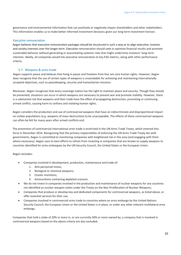governance and environmental information that can positively or negatively impact shareholders and other stakeholders. This information enables us to make better informed investment decisions given our long-term investment horizon.

## *Executive remuneration*

Aegon believes that executive remuneration packages should be structured in such a way as to align executive, investor and society interests over the longer term. Executive remuneration should seek to optimize financial results and promote sustainable behavior without generating or exacerbating systemic risks that might undermine investors' long-term interests. Ideally, all companies would link executive remuneration to key ESG metrics, along with other performance criteria.

## 5.7. Weapons & arms trade

<span id="page-10-0"></span>Aegon supports peace and believes that living in peace and freedom from fear are core human rights. However, Aegon does recognize that the use of certain types of weapons is unavoidable for achieving and maintaining internationally accepted objectives, such as peacekeeping, security and humanitarian missions.

Moreover, Aegon recognizes that every sovereign nation has the right to maintain peace and security. Though they should be prevented, situations can occur in which weapons are necessary to prevent war and promote stability. However, there is a substantial risk that weapons and their trade have the effect of propagating destruction, promoting or continuing armed conflict, causing harm to civilians and violating human rights.

Aegon considers the production and use of controversial weapons that have an indiscriminate and disproportional impact on civilian populations (e.g. weapons of mass destruction) to be unacceptable. The effects of these controversial weapons can often be felt for many years after armed conflicts end.

The prevention of controversial international arms trade is enshrined in the UN Arms Trade Treaty, which entered into force in December 2014. Recognizing that the primary responsibility of enforcing the UN Arms Trade Treaty lies with governments, Aegon is committed to monitoring companies with heightened risk in this area (and engaging with them where necessary). Aegon uses its best efforts to refrain from investing in companies that are known to supply weapons to countries identified for arms embargoes by the UN Security Council, the United States or the European Union.

Aegon excludes:

- Companies involved in development, production, maintenance and trade of:
	- 1. Anti-personnel mines;
	- 2. Biological or chemical weapons;
	- 3. Cluster munitions;
	- 4. Ammunitions containing depleted uranium.
- We do not invest in companies involved in the production and maintenance of nuclear weapons for any countries not identified as nuclear-weapon states under the Treaty on the Non-Proliferation of Nuclear Weapons;
- Companies that produce or develop key and dedicated components for controversial weapons, as listed above, or offer essential services for their use;
- Companies involved in controversial arms trade to countries where an arms embargo by the United Nations Security Council, the European Union or the United States is in place, or under any other relevant multilateral arms embargo.

Companies that hold a stake of 20% or more in, or are currently 50% or more owned by, a company that is involved in controversial weapons based on the above criteria are also excluded.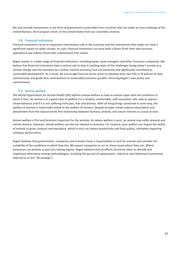We also exclude investments in any form of government-issued debt from countries that are under an arms embargo of the United Nations, the European Union, or the United States from our investible universe.

## 5.8. Financial institutions

<span id="page-11-0"></span>Financial institutions serve an important intermediary role in the economy and the investments they make can have a significant impact on wider society. As such, financial institutions can have both a direct (from their own business operations) and indirect (from their investments) ESG impact.

Aegon invests in a wide range of financial institutions, including banks, asset managers and other insurance companies. We believe that financial institutions have a central role to play in tackling many of the challenges facing today's society (e.g. climate change and the transition to a carbon-neutral economy) and can positively and significantly contribute to sustainable development. As a result, we encourage financial sector actors to develop their own ESG or RI policies to help communicate and guide their contributions to sustainable economic growth, mirroring Aegon's own policy and commitments.

#### 5.9. Animal welfare

<span id="page-11-1"></span>The World Organization for Animal Health (OIE) defines animal welfare as how an animal copes with the conditions in which it lives. An animal is in a good state of welfare if it is healthy, comfortable, well nourished, safe, able to express innate behavior and if it is not suffering from pain, fear and distress. With all living things connected in some way, the welfare of animals is inextricably linked to the welfare of humans. Despite broader trends toward urbanization and detachment from the natural world, the relationship between humans, animals, and nature remains as crucial as ever.

Animal welfare is first and foremost important for the animals, for where welfare is poor, an animal may suffer physical and mental distress. However, animal welfare can also be relevant to business. For instance, poor welfare can impact the ability of animals to grow, produce and reproduce, which in turn can reduce productivity and food quality, ultimately impacting company performance.

Aegon believes that governments, companies and investors have a responsibility to care for animals and consider the suitability of the conditions in which they live. We expect companies to act on these issues where they can. Where businesses use animals as part of a testing regime, Aegon believes that all efforts should be taken to identify and implement alternative testing methodologies, including the pursuit of replacement, reduction and refinement (commonly referred to as the "3R strategy").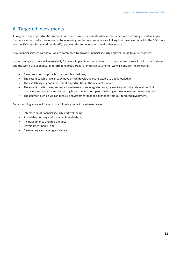# <span id="page-12-0"></span>6. Targeted Investments

At Aegon, we see opportunities to meet our risk-return requirements while at the same time delivering a positive impact on the societies in which we operate. An increasing number of companies are linking their business impact to the SDGs. We see the SDGs as a framework to identify opportunities for investments in durable impact.

As a financial services company, we are committed to provide financial security and well-being to our customers.

In the coming years, we will increasingly focus our impact investing efforts on issues that are closely linked to our business and the world of our clients. In determining focus areas for impact investments, we will consider the following:

- Clear link to our approach to responsible business;
- The extent to which we already have or can develop relevant expertise and knowledge;
- The availability of good investment opportunities in the relevant market;
- The extent to which we can make investments in an integrated way, by working with the relevant portfolio managers and analysts and by making impact investment part of existing or new investment mandates; and
- The degree to which we can measure environmental or social impact from our targeted investments.

Correspondingly, we will focus on the following impact investment areas:

- Intersection of financial security and well-being;
- Affordable housing and sustainable real estate;
- Inclusive finance and microfinance;
- Development banks; and
- Clean energy and energy efficiency.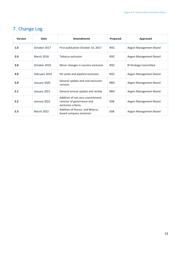| <b>Version</b> | Date              | <b>Amendments</b>                                                                    | Prepared    | Approved                     |
|----------------|-------------------|--------------------------------------------------------------------------------------|-------------|------------------------------|
| 1.0            | October 2017      | First publication October 10, 2017                                                   | <b>RISC</b> | Aegon Management Board       |
| 2.0            | <b>March 2018</b> | Tobacco exclusion                                                                    | <b>RISC</b> | Aegon Management Board       |
| 3.0            | October 2018      | Minor changes in country exclusion                                                   | <b>RISC</b> | <b>RI Strategy Committee</b> |
| 4.0            | February 2019     | Oil sands and pipeline exclusion                                                     | <b>RISC</b> | Aegon Management Board       |
| 5.0            | January 2020      | General update and coal exclusion<br>revision                                        | <b>RBIC</b> | Aegon Management Board       |
| 5.1            | January 2021      | General annual update and review                                                     | <b>RBIC</b> | Aegon Management Board       |
| 5.2            | January 2022      | Addition of net-zero commitment;<br>revision of governance and<br>exclusion criteria | <b>GSB</b>  | Aegon Management Board       |
| 5.3            | <b>March 2022</b> | <b>Addition of Russia- and Belarus-</b><br>based company exclusion                   | <b>GSB</b>  | Aegon Management Board       |

# <span id="page-13-0"></span>7. Change Log